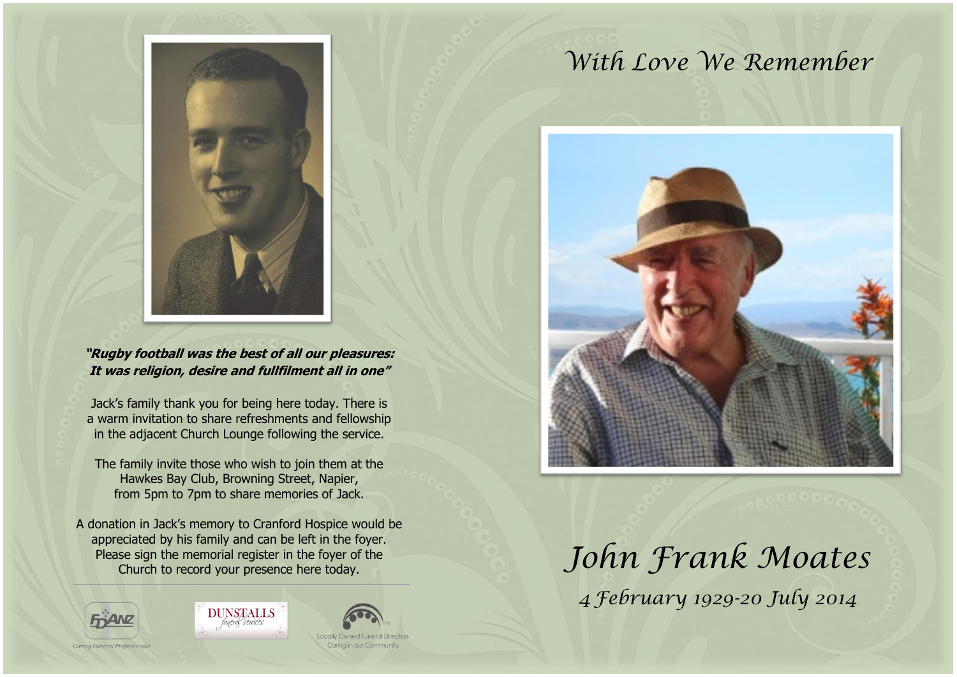

#### **"Rugby football was the best of all our pleasures: It was religion, desire and fullfilment all in one"**

Jack's family thank you for being here today. There is a warm invitation to share refreshments and fellowship in the adjacent Church Lounge following the service.

The family invite those who wish to join them at the Hawkes Bay Club, Browning Street, Napier, from 5pm to 7pm to share memories of Jack.

A donation in Jack's memory to Cranford Hospice would be appreciated by his family and can be left in the foyer. Please sign the memorial register in the foyer of the Church to record your presence here today.



**DUNSTALLS** uneral services



# *With Love We Remember*



*John Frank Moates 4 February 1929-20 July 2014*